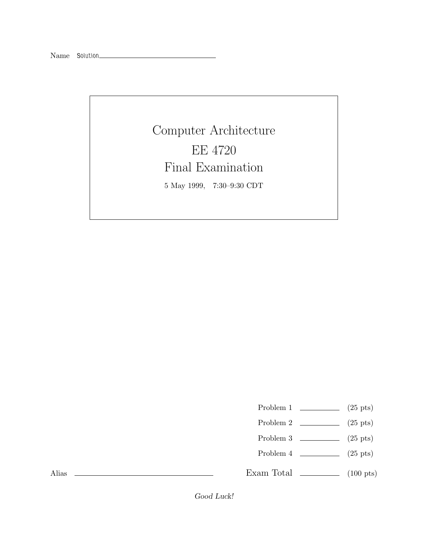Name *Solution*

Alias

Computer Architecture EE 4720 Final Examination 5 May 1999, 7:30–9:30 CDT

Problem 1  $\qquad \qquad$  (25 pts)

- Problem 2  $\qquad \qquad$  (25 pts)
- Problem 3  $(25 \text{ pts})$
- Problem 4 (25 pts)

Exam Total  $\qquad \qquad$  (100 pts)

*Good Luck!*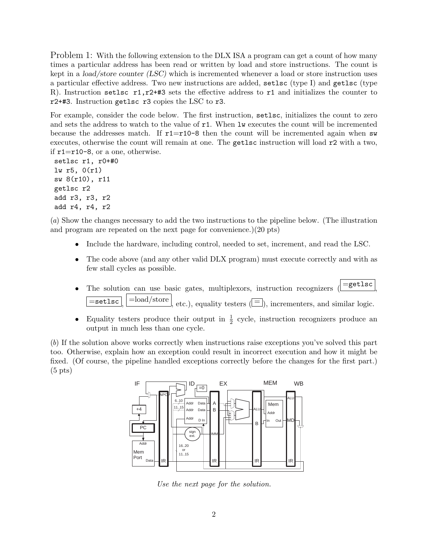Problem 1: With the following extension to the DLX ISA a program can get a count of how many times a particular address has been read or written by load and store instructions. The count is kept in a *load/store counter (LSC)* which is incremented whenever a load or store instruction uses a particular effective address. Two new instructions are added, setlsc (type I) and getlsc (type R). Instruction setlsc  $r1, r2++3$  sets the effective address to  $r1$  and initializes the counter to r2+#3. Instruction getlsc r3 copies the LSC to r3.

For example, consider the code below. The first instruction, setlsc, initializes the count to zero and sets the address to watch to the value of  $r1$ . When lw executes the count will be incremented because the addresses match. If  $r1=r10-8$  then the count will be incremented again when sw executes, otherwise the count will remain at one. The getlsc instruction will load r2 with a two, if r1=r10-8, or a one, otherwise.

setlsc r1, r0+#0 lw r5, 0(r1) sw 8(r10), r11 getlsc r2 add r3, r3, r2 add r4, r4, r2

(*a*) Show the changes necessary to add the two instructions to the pipeline below. (The illustration and program are repeated on the next page for convenience.)(20 pts)

- Include the hardware, including control, needed to set, increment, and read the LSC.
- The code above (and any other valid DLX program) must execute correctly and with as few stall cycles as possible.
- The solution can use basic gates, multiplexors, instruction recognizers  $\left( = \text{getlsc} \right)$  $\overline{\mathsf{u}(\equiv)}$ ,  $\overline{\mathsf{u}(\equiv)}$ ,  $\overline{\mathsf{u}(\equiv)}$ , equality testers ( $\overline{\mathsf{u}(\equiv)}$ ), incrementers, and similar logic.
- Equality testers produce their output in  $\frac{1}{2}$  cycle, instruction recognizers produce an output in much less than one cycle.

(*b*) If the solution above works correctly when instructions raise exceptions you've solved this part too. Otherwise, explain how an exception could result in incorrect execution and how it might be fixed. (Of course, the pipeline handled exceptions correctly before the changes for the first part.)  $(5 \text{ pts})$ 



*Use the next page for the solution.*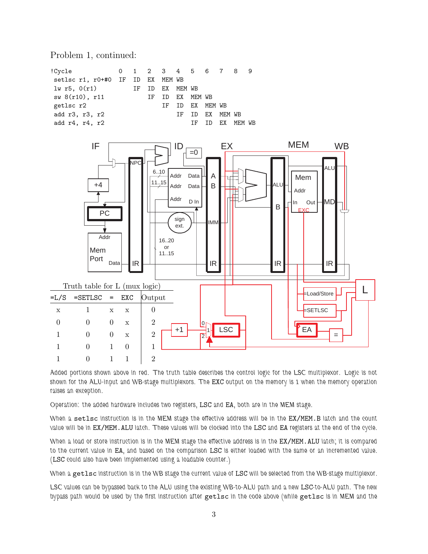Problem 1, continued:



*Added portions shown above in red. The truth table describes the control logic for the LSC multiplexor. Logic is not shown for the ALU-input and WB-stage multiplexors. The* EXC *output on the memory is 1 when the memory operation raises an exception.*

*Operation: the added hardware includes two registers,* LSC *and* EA*, both are in the MEM stage.*

*When a* setlsc *instruction is in the MEM stage the effective address will be in the* EX/MEM.B *latch and the count value will be in* EX/MEM.ALU *latch. These values will be clocked into the* LSC *and* EA *registers at the end of the cycle.*

*When a load or store instruction is in the MEM stage the effective address is in the* EX/MEM.ALU *latch; it is compared to the current value in* EA*, and based on the comparison* LSC *is either loaded with the same or an incremented value. (*LSC *could also have been implemented using a loadable counter.)*

*When a* getlsc *instruction is in the WB stage the current value of* LSC *will be selected from the WB-stage multiplexor.*

*LSC values can be bypassed back to the ALU using the existing WB-to-ALU path and a new* LSC*-to-ALU path. The new bypass path would be used by the first instruction after* getlsc *in the code above (while* getlsc *is in MEM and the*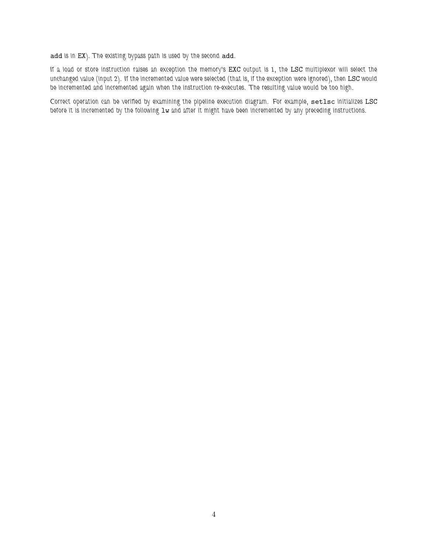add *is in* EX*). The existing bypass path is used by the second* add*.*

*If a load or store instruction raises an exception the memory's* EXC *output is 1, the* LSC *multiplexor will select the* unchanged value (input 2). If the incremented value were selected (that is, if the exception were ignored), then LSC would *be incremented and incremented again when the instruction re-executes. The resulting value would be too high.*

*Correct operation can be verified by examining the pipeline execution diagram. For example,* setlsc *initializes* LSC before it is incremented by the following  $1w$  and after it might have been incremented by any preceding instructions.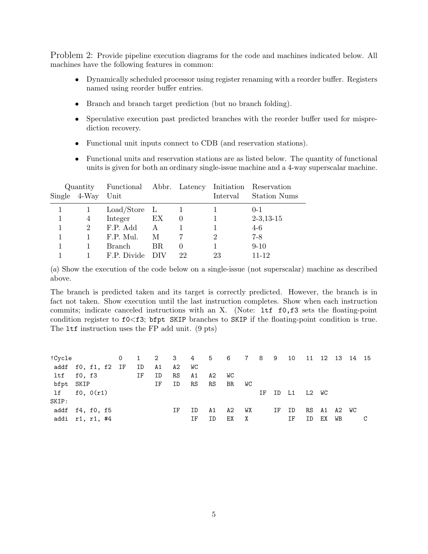Problem 2: Provide pipeline execution diagrams for the code and machines indicated below. All machines have the following features in common:

- Dynamically scheduled processor using register renaming with a reorder buffer. Registers named using reorder buffer entries.
- Branch and branch target prediction (but no branch folding).
- Speculative execution past predicted branches with the reorder buffer used for misprediction recovery.
- Functional unit inputs connect to CDB (and reservation stations).
- Functional units and reservation stations are as listed below. The quantity of functional units is given for both an ordinary single-issue machine and a 4-way superscalar machine.

|  |                | Quantity Functional Abbr. Latency Initiation Reservation |     |          |          |                     |  |  |
|--|----------------|----------------------------------------------------------|-----|----------|----------|---------------------|--|--|
|  | Single 4-Way   | Unit                                                     |     |          | Interval | <b>Station Nums</b> |  |  |
|  |                | $Load/Store$ L                                           |     |          |          | $0 - 1$             |  |  |
|  | 4              | Integer                                                  | EX  | $\theta$ |          | $2-3,13-15$         |  |  |
|  | $\overline{2}$ | F.P. Add                                                 | A   |          |          | $4-6$               |  |  |
|  |                | F.P. Mul.                                                | M   |          | 2        | $7-8$               |  |  |
|  |                | Branch                                                   | BR. | $\theta$ |          | $9-10$              |  |  |
|  |                | F.P. Divide                                              |     | 22       | 23       | $11 - 12$           |  |  |

(*a*) Show the execution of the code below on a single-issue (not superscalar) machine as described above.

The branch is predicted taken and its target is correctly predicted. However, the branch is in fact not taken. Show execution until the last instruction completes. Show when each instruction commits; indicate canceled instructions with an X. (Note: ltf f0,f3 sets the floating-point condition register to  $f0 \lt f3$ ; bfpt SKIP branches to SKIP if the floating-point condition is true. The ltf instruction uses the FP add unit. (9 pts)

| !Cycle             |  |  |    |    |    |    |    | 0 1 2 3 4 5 6 7 8 9 10 11 12 13 14 15 |    |    |       |    |       |             |    |   |
|--------------------|--|--|----|----|----|----|----|---------------------------------------|----|----|-------|----|-------|-------------|----|---|
| addf f0, f1, f2 IF |  |  | ID | A1 | A2 | WC |    |                                       |    |    |       |    |       |             |    |   |
| ltf f0, f3         |  |  | IF | ID | RS | A1 | A2 | <b>WC</b>                             |    |    |       |    |       |             |    |   |
| bfpt SKIP          |  |  |    | IF | ID | RS | RS | BR                                    | WC |    |       |    |       |             |    |   |
| $1f$ $f0, 0(r1)$   |  |  |    |    |    |    |    |                                       |    | ΙF | ID    | L1 | L2 WC |             |    |   |
| SKIP:              |  |  |    |    |    |    |    |                                       |    |    |       |    |       |             |    |   |
| addf f4, f0, f5    |  |  |    |    | ΙF | ID | A1 | A2                                    | WX |    | IF ID |    |       | RS A1 A2 WC |    |   |
| addi r1, r1, #4    |  |  |    |    |    | ΙF | ΙD | ЕX                                    | X  |    |       | ΙF | ID    | ЕX          | WB | C |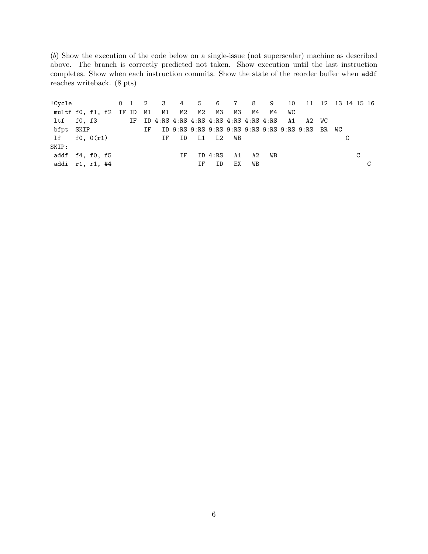(*b*) Show the execution of the code below on a single-issue (not superscalar) machine as described above. The branch is correctly predicted not taken. Show execution until the last instruction completes. Show when each instruction commits. Show the state of the reorder buffer when addf reaches writeback. (8 pts)

!Cycle 0 1 2 3 4 5 6 7 8 9 10 11 12 13 14 15 16 multf f0, f1, f2 IF ID M1 M1 M2 M2 M3 M3 M4 M4 WC ltf f0, f3 IF ID 4:RS 4:RS 4:RS 4:RS 4:RS 4:RS 4:RS A1 A2 WC bfpt SKIP IF ID 9:RS 9:RS 9:RS 9:RS 9:RS 9:RS 9:RS 9:RS BR WC lf f0, 0(r1) IF ID L1 L2 WB C SKIP: addf f4, f0, f5 TF ID 4:RS A1 A2 WB C addi r1, r1, #4  $\qquad \qquad \text{IF} \qquad \text{ID} \qquad \text{EX} \qquad \text{WB} \qquad \qquad \text{C}$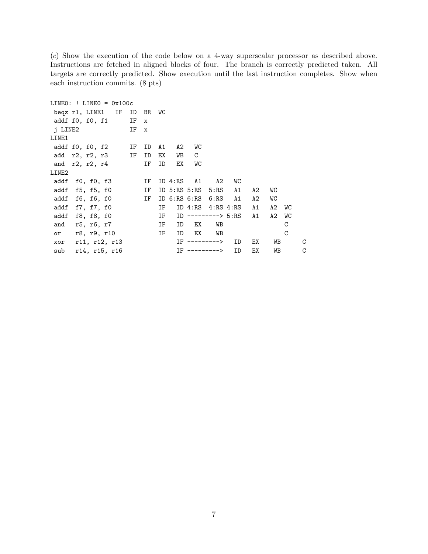(*c*) Show the execution of the code below on a 4-way superscalar processor as described above. Instructions are fetched in aligned blocks of four. The branch is correctly predicted taken. All targets are correctly predicted. Show execution until the last instruction completes. Show when each instruction commits. (8 pts)

```
LINEO: ! LINEO = 0x100cbeqz r1, LINE1 IF ID BR WC
addf f0, f0, f1 IF x
j LINE2 IF x
LINE1
addf f0, f0, f2 IF ID A1 A2 WC
add r2, r2, r3 IF ID EX WB C
and r2, r2, r4 IF ID EX WC
LINE2
addf f0, f0, f3 IF ID 4:RS A1 A2 WC
addf f5, f5, f0 IF ID 5:RS 5:RS 5:RS A1 A2 WC
addf f6, f6, f0 IF ID 6:RS 6:RS 6:RS A1 A2 WC
addf f7, f7, f0 IF ID 4:RS 4:RS 4:RS A1 A2 WC
addf f8, f8, f0 IF ID --------> 5:RS A1 A2 WC
and r5, r6, r7 IF ID EX WB C
or r8, r9, r10 IF ID EX WB C
xor r11, r12, r13 IF ---------> ID EX WB C
sub r14, r15, r16 IF ---------> ID EX WB C
```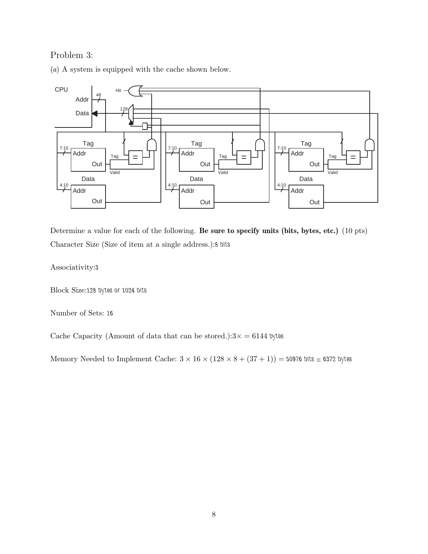## Problem 3:

(*a*) A system is equipped with the cache shown below.



Determine a value for each of the following. **Be sure to specify units (bits, bytes, etc.)** (10 pts) Character Size (Size of item at a single address.):*8 bits*

Associativity:*3*

Block Size:*128 bytes or 1024 bits*

Number of Sets: *16*

Cache Capacity (Amount of data that can be stored.): $3 \times = 6144$  bytes

Memory Needed to Implement Cache:  $3 \times 16 \times (128 \times 8 + (37 + 1)) = 50976$  bits = 6372 bytes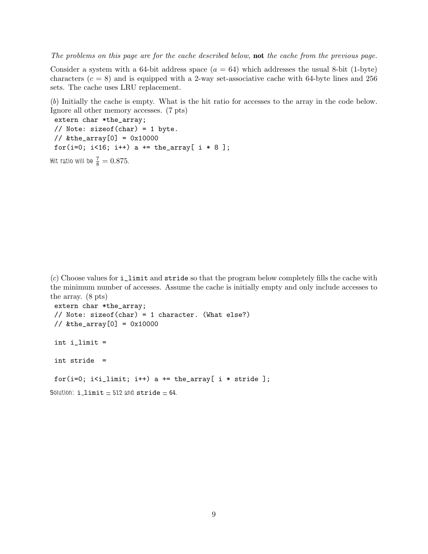*The problems on this page are for the cache described below,* **not** *the cache from the previous page.*

Consider a system with a 64-bit address space  $(a = 64)$  which addresses the usual 8-bit (1-byte) characters  $(c = 8)$  and is equipped with a 2-way set-associative cache with 64-byte lines and 256 sets. The cache uses LRU replacement.

(*b*) Initially the cache is empty. What is the hit ratio for accesses to the array in the code below. Ignore all other memory accesses. (7 pts)

extern char \*the\_array; // Note: sizeof(char) = 1 byte. // &the\_array[0] = 0x10000 for(i=0;  $i$ <16;  $i$ ++) a += the\_array[  $i * 8$ ];

Hit ratio will be  $\frac{7}{8} = 0.875$ .

(*c*) Choose values for i\_limit and stride so that the program below completely fills the cache with the minimum number of accesses. Assume the cache is initially empty and only include accesses to the array. (8 pts)

```
extern char *the_array;
 // Note: sizeof(char) = 1 character. (What else?)
\frac{1}{8} & the_array [0] = 0x10000int i_limit =
 int stride =
 for(i=0; i<i_limit; i++) a += the_array[ i * stride ];
Solution: i limit = 512 and stride = 64.
```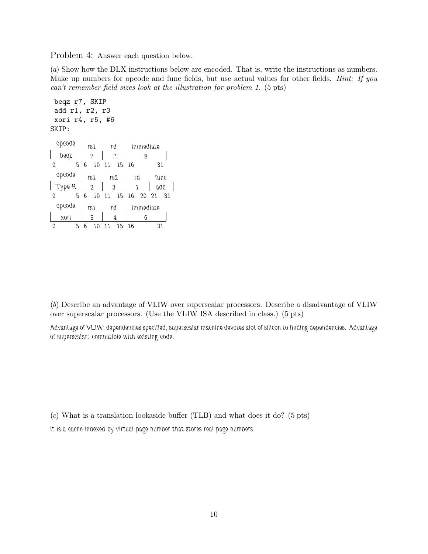Problem 4: Answer each question below.

(*a*) Show how the DLX instructions below are encoded. That is, write the instructions as numbers. Make up numbers for opcode and func fields, but use actual values for other fields. *Hint: If you can't remember field sizes look at the illustration for problem 1.* (5 pts)

```
beqz r7, SKIP
 add r1, r2, r3
 xori r4, r5, #6
SKIP:
 opcode
  beqz
0 5
6 10
11 15
          rs1
           7
                 rd
                  ?
                       immediate
                           8
                              16 31
 opcode
 Type R
0 5
          rs1
           2
          6 10
11 15
16 20
21 31
                 rs2
                 3
                        rd
                        1
                              func
                              add
 opcode
  xori
0 5
6 10
11 15
16 31
          rs1
           5
                 rd
                  4
                       immediate
                           6
```
(*b*) Describe an advantage of VLIW over superscalar processors. Describe a disadvantage of VLIW over superscalar processors. (Use the VLIW ISA described in class.) (5 pts)

*Advantage of VLIW: dependencies specified, superscalar machine devotes alot of silicon to finding dependencies. Advantage of superscalar: compatible with existing code.*

(*c*) What is a translation lookaside buffer (TLB) and what does it do? (5 pts)

*It is a cache indexed by virtual page number that stores real page numbers.*